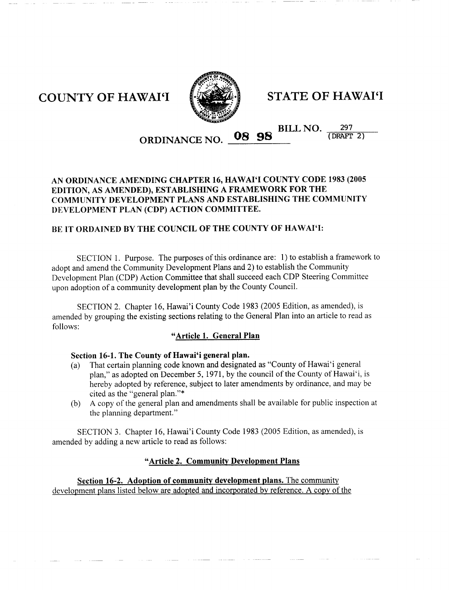

COUNTY OF HAWAI'I FINE OF HAWAI'I

#### BILL NO 08 98 BILL NO. 297 ORDINANCE NO

## AN ORDINANCE AMENDING CHAPTER 16, HAWAI'I COUNTY CODE 1983 (2005 EDITION, AS AMENDED), ESTABLISHING A FRAMEWORK FOR THE COMMUNITY DEVELOPMENT PLANS AND ESTABLISHING THE COMMUNITY DEVELOPMENT PLAN (CDP) ACTION COMMITTEE.

## BE IT ORDAINED BY THE COUNCIL OF THE COUNTY OF HAWAI'I:

SECTION 1. Purpose. The purposes of this ordinance are: 1) to establish a framework to adopt and amend the Community Development Plans and 2) to establish the Community Development Plan CDP Action Committee that shall succeed each CDP Steering Committee upon adoption of <sup>a</sup> community development plan by the County Council **EXECTION 2 CHAPTER 16, HAWAI'I COUNTY CODE 1983 (200**<br>
SOON, AS AMENDED), ESTABLISHING A FRAMEWORK FOR THE<br>
IUNITY DEVELOPMENT PLANS AND ESTABLISHING THE COMMUNIT<br>
COPMENT PLAN (CDP) ACTION COMMITTEE.<br>
SECTION 1. Purpose.

amended by grouping the existing sections relating to the General Plan into an article to read as follows

## "Article 1. General Plan

## Section 16-1. The County of Hawai'i general plan.

- (a) That certain planning code known and designated as "County of Hawai'i general"<br> $\sum_{n=1}^{\infty}$ plan," as adopted on December 5, 1971, by the council of the County of Hawai'i, is hereby adopted by reference, subject to later amendments by ordinance, and may be cited as the "general plan."\* ment Pian (CDP) Action Commutee that share stected each CDF) seeding Community<br>option of a community development plan by the County Council.<br>SECTION 2. Chapter 16, Hawai'i County Code 1983 (2005 Edition, as amended), is<br>
- b <sup>A</sup> copy of the general plan and amendments shall be available for public inspection at the planning department."

amended by adding a new article to read as follows:

### "Article 2. Community Development Plans

Section 16-2. Adoption of community development plans. The community development plans listed below are adopted and incorporated by reference A copy of the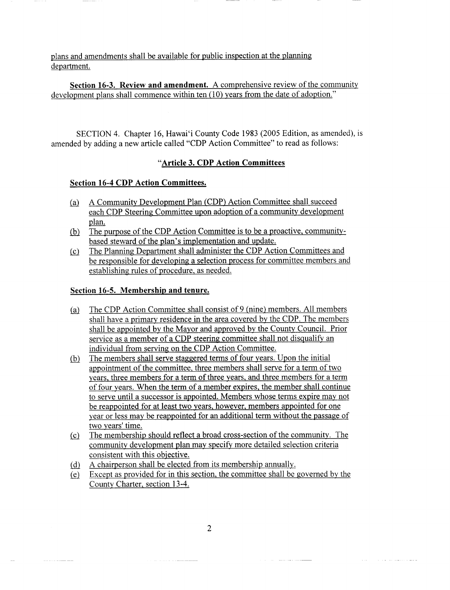plans and amendments shall be available for public inspection at the planning department

Section 16-3. Review and amendment. A comprehensive review of the community development plans shall commence within ten (10) years from the date of adoption."

SECTION 4. Chapter 16, Hawai'i County Code 1983 (2005 Edition, as amended), is amended by adding a new article called "CDP Action Committee" to read as follows:

## "Article 3. CDP Action Committees

## Section 16-4 CDP Action Committees.

- (a) A Community Development Plan (CDP) Action Committee shall succeed each CDP Steering Committee upon adoption of a community development plan
- each CDP Steering Committee upon adoption of a com-<br>plan.<br>The purpose of the CDP Action Committee is to be a pi<br>based steward of the plan's implementation and update.<br>The Planning Department shall administer the CDP Ac The purpose of the CDP Action Committee is to be a proactive, community- $(b)$
- $(c)$ The Planning Department shall administer the CDP Action Committees and be responsible for developing a selection process for committee members and establishing rules of procedure, as needed.

## Section 16-5. Membership and tenure.

- The CDP Action Committee shall consist of 9 (nine) members. All members  $(a)$ shall have a primary residence in the area covered by the CDP. The members shall be appointed by the Mayor and approved by the County Council. Prior service as a member of a CDP steering committee shall not disqualify an individual from serving on the CDP Action Committee
- The members shall serve staggered terms of four years. Upon the initial  $(b)$ appointment of the committee, three members shall serve for a term of two years, three members for a term of three years, and three members for a term of four years. When the term of a member expires, the member shall continue to serve until a successor is appointed. Members whose terms expire may not be reappointed for at least two years, however, members appointed for one year or less may be reappointed for an additional term without the passage of two years' time.
- $(c)$  The membership should reflect a broad cross-section of the community. The community development plan may specify more detailed selection criteria consistent with this objective
- A chairperson shall be elected from its membership annually

(d) A chairperson shall be elected from its membership annually.<br>  $(e)$  Except as provided for in this section, the committee shall be governed by the County Charter, section 13-4.

a construction of the contractor of the contractor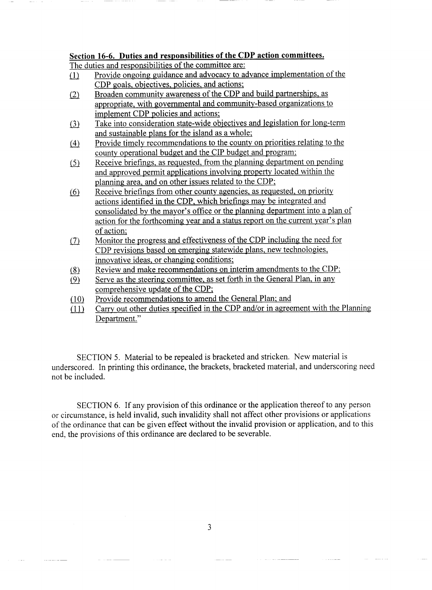# Section 16-6. Duties and responsibilities of the CDP action committees.

The duties and responsibilities of the committee are:

- Provide ongoing guidance and advocacy to advance implementation of the  $(1)$ CDP goals, objectives, policies, and actions;
- Broaden community awareness of the CDP and build partnerships, as  $(2)$ appropriate, with governmental and community-based organizations to implement CDP policies and actions
- Take into consideration state-wide objectives and legislation for long-term  $(3)$ and sustainable plans for the island as <sup>a</sup> whole
- Provide timely recommendations to the county on priorities relating to the  $(4)$ county operational budget and the CIP budget and program
- Receive briefings, as requested, from the planning department on pending  $(5)$ and approved permit applications involving property located within the planning area, and on other issues related to the CDP;
- and approved permit applications involving property located within the planning area, and on other issues related to the CDP;<br>Receive briefings from other county agencies, as requested, on priority<br>actions identified in th Receive briefings from other county agencies, as requested, on priority  $(6)$ actions identified in the CDP, which briefings may be integrated and of action
- Monitor the progress and effectiveness of the CDP including the need for  $(7)$ CDP revisions based on emerging statewide plans, new technologies, innovative ideas, or changing conditions;
- Review and make recommendations on interim amendments to the CDP  $(8)$
- Serve as the steering committee, as set forth in the General Plan, in any  $(9)$ comprehensive update of the CDP
- Provide recommendations to amend the General Plan; and
- $110$  Provide recommendations to amend the General Plan; and<br>  $111$  Carry out other duties specified in the CDP and/or in agreement with the Planning Department."

SECTION 5. Material to be repealed is bracketed and stricken. New material is underscored. In printing this ordinance, the brackets, bracketed material, and underscoring need not be included

SECTION 6. If any provision of this ordinance or the application thereof to any person or circumstance, is held invalid, such invalidity shall not affect other provisions or applications of the ordinance that can be given effect without the invalid provision or application, and to this end, the provisions of this ordinance are declared to be severable.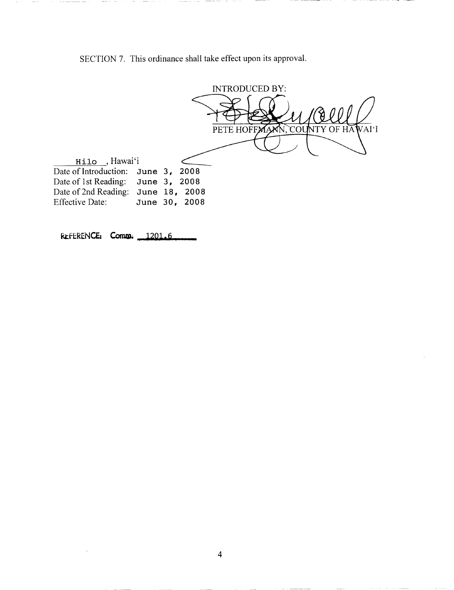SECTION 7. This ordinance shall take effect upon its approval.



REFERENCE: Comm. 1201.6